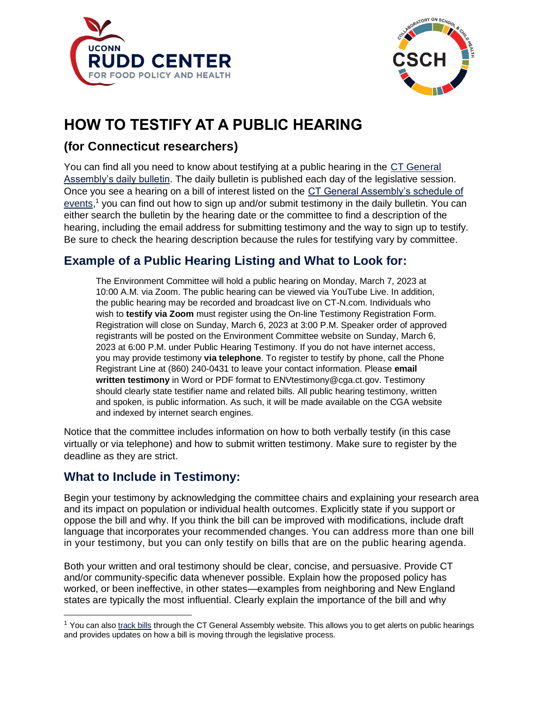



# **HOW TO TESTIFY AT A PUBLIC HEARING**

## **(for Connecticut researchers)**

You can find all you need to know about testifying at a public hearing in the [CT General](https://www.cga.ct.gov/asp/menu/Clerkdoclist.asp?house=X&doc_type=bul)  [Assembly's daily bulletin.](https://www.cga.ct.gov/asp/menu/Clerkdoclist.asp?house=X&doc_type=bul) The daily bulletin is published each day of the legislative session. Once you see a hearing on a bill of interest listed on the [CT General Assembly's schedule of](https://www.cga.ct.gov/default.asp)  [events,](https://www.cga.ct.gov/default.asp)<sup>1</sup> you can find out how to sign up and/or submit testimony in the daily bulletin. You can either search the bulletin by the hearing date or the committee to find a description of the hearing, including the email address for submitting testimony and the way to sign up to testify. Be sure to check the hearing description because the rules for testifying vary by committee.

# **Example of a Public Hearing Listing and What to Look for:**

The Environment Committee will hold a public hearing on Monday, March 7, 2023 at 10:00 A.M. via Zoom. The public hearing can be viewed via YouTube Live. In addition, the public hearing may be recorded and broadcast live on CT-N.com. Individuals who wish to **testify via Zoom** must register using the On-line Testimony Registration Form. Registration will close on Sunday, March 6, 2023 at 3:00 P.M. Speaker order of approved registrants will be posted on the Environment Committee website on Sunday, March 6, 2023 at 6:00 P.M. under Public Hearing Testimony. If you do not have internet access, you may provide testimony **via telephone**. To register to testify by phone, call the Phone Registrant Line at (860) 240-0431 to leave your contact information. Please **email written testimony** in Word or PDF format to ENVtestimony@cga.ct.gov. Testimony should clearly state testifier name and related bills. All public hearing testimony, written and spoken, is public information. As such, it will be made available on the CGA website and indexed by internet search engines.

Notice that the committee includes information on how to both verbally testify (in this case virtually or via telephone) and how to submit written testimony. Make sure to register by the deadline as they are strict.

### **What to Include in Testimony:**

Begin your testimony by acknowledging the committee chairs and explaining your research area and its impact on population or individual health outcomes. Explicitly state if you support or oppose the bill and why. If you think the bill can be improved with modifications, include draft language that incorporates your recommended changes. You can address more than one bill in your testimony, but you can only testify on bills that are on the public hearing agenda.

Both your written and oral testimony should be clear, concise, and persuasive. Provide CT and/or community-specific data whenever possible. Explain how the proposed policy has worked, or been ineffective, in other states—examples from neighboring and New England states are typically the most influential. Clearly explain the importance of the bill and why

<sup>&</sup>lt;sup>1</sup> You can also [track bills](https://www.cga.ct.gov/asp/menu/cgabilltracking.asp) through the CT General Assembly website. This allows you to get alerts on public hearings and provides updates on how a bill is moving through the legislative process.